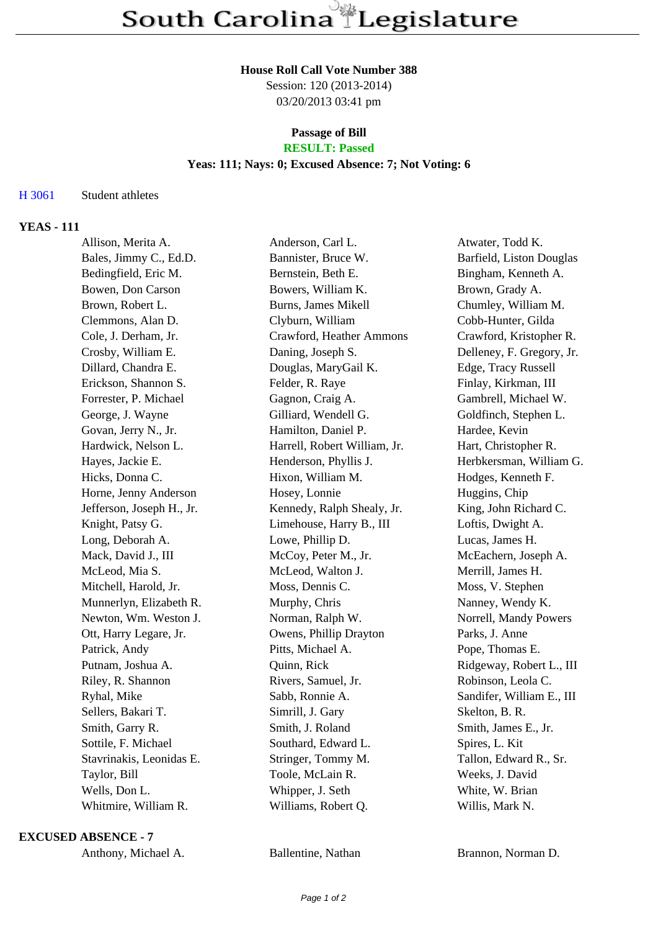#### **House Roll Call Vote Number 388**

Session: 120 (2013-2014) 03/20/2013 03:41 pm

#### **Passage of Bill RESULT: Passed**

### **Yeas: 111; Nays: 0; Excused Absence: 7; Not Voting: 6**

# H 3061 Student athletes

# **YEAS - 111**

| Allison, Merita A.        | Anderson, Carl L.            | Atwater, Todd K.          |
|---------------------------|------------------------------|---------------------------|
| Bales, Jimmy C., Ed.D.    | Bannister, Bruce W.          | Barfield, Liston Douglas  |
| Bedingfield, Eric M.      | Bernstein, Beth E.           | Bingham, Kenneth A.       |
| Bowen, Don Carson         | Bowers, William K.           | Brown, Grady A.           |
| Brown, Robert L.          | Burns, James Mikell          | Chumley, William M.       |
| Clemmons, Alan D.         | Clyburn, William             | Cobb-Hunter, Gilda        |
| Cole, J. Derham, Jr.      | Crawford, Heather Ammons     | Crawford, Kristopher R.   |
| Crosby, William E.        | Daning, Joseph S.            | Delleney, F. Gregory, Jr. |
| Dillard, Chandra E.       | Douglas, MaryGail K.         | Edge, Tracy Russell       |
| Erickson, Shannon S.      | Felder, R. Raye              | Finlay, Kirkman, III      |
| Forrester, P. Michael     | Gagnon, Craig A.             | Gambrell, Michael W.      |
| George, J. Wayne          | Gilliard, Wendell G.         | Goldfinch, Stephen L.     |
| Govan, Jerry N., Jr.      | Hamilton, Daniel P.          | Hardee, Kevin             |
| Hardwick, Nelson L.       | Harrell, Robert William, Jr. | Hart, Christopher R.      |
| Hayes, Jackie E.          | Henderson, Phyllis J.        | Herbkersman, William G.   |
| Hicks, Donna C.           | Hixon, William M.            | Hodges, Kenneth F.        |
| Horne, Jenny Anderson     | Hosey, Lonnie                | Huggins, Chip             |
| Jefferson, Joseph H., Jr. | Kennedy, Ralph Shealy, Jr.   | King, John Richard C.     |
| Knight, Patsy G.          | Limehouse, Harry B., III     | Loftis, Dwight A.         |
| Long, Deborah A.          | Lowe, Phillip D.             | Lucas, James H.           |
| Mack, David J., III       | McCoy, Peter M., Jr.         | McEachern, Joseph A.      |
| McLeod, Mia S.            | McLeod, Walton J.            | Merrill, James H.         |
| Mitchell, Harold, Jr.     | Moss, Dennis C.              | Moss, V. Stephen          |
| Munnerlyn, Elizabeth R.   | Murphy, Chris                | Nanney, Wendy K.          |
| Newton, Wm. Weston J.     | Norman, Ralph W.             | Norrell, Mandy Powers     |
| Ott, Harry Legare, Jr.    | Owens, Phillip Drayton       | Parks, J. Anne            |
| Patrick, Andy             | Pitts, Michael A.            | Pope, Thomas E.           |
| Putnam, Joshua A.         | Quinn, Rick                  | Ridgeway, Robert L., III  |
| Riley, R. Shannon         | Rivers, Samuel, Jr.          | Robinson, Leola C.        |
| Ryhal, Mike               | Sabb, Ronnie A.              | Sandifer, William E., III |
| Sellers, Bakari T.        | Simrill, J. Gary             | Skelton, B. R.            |
| Smith, Garry R.           | Smith, J. Roland             | Smith, James E., Jr.      |
| Sottile, F. Michael       | Southard, Edward L.          | Spires, L. Kit            |
| Stavrinakis, Leonidas E.  | Stringer, Tommy M.           | Tallon, Edward R., Sr.    |
| Taylor, Bill              | Toole, McLain R.             | Weeks, J. David           |
| Wells, Don L.             | Whipper, J. Seth             | White, W. Brian           |
| Whitmire, William R.      | Williams, Robert Q.          | Willis, Mark N.           |
|                           |                              |                           |

#### **EXCUSED ABSENCE - 7**

Anthony, Mallentine, Nathan Brannon, Norman D.